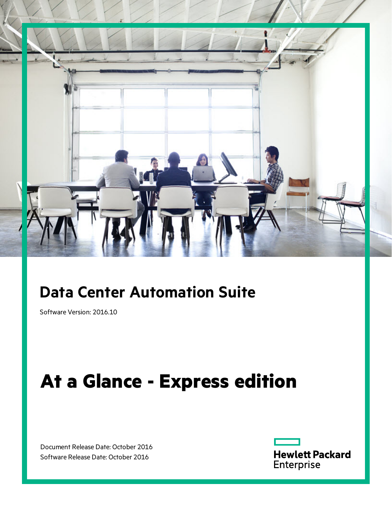

## **Data Center Automation Suite**

Software Version: 2016.10

# **At a Glance - Express edition**

Document Release Date: October 2016 Software Release Date: October 2016

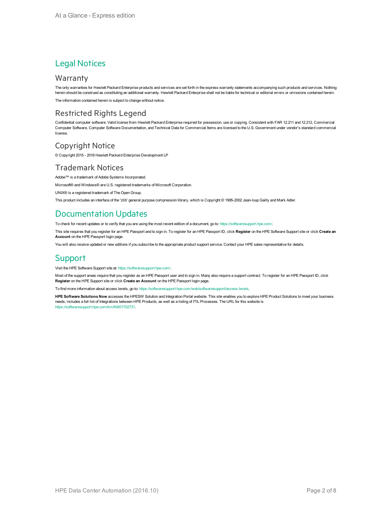#### Legal Notices

#### **Warranty**

The only warranties for Hewlett Packard Enterprise products and services are set forth in the express warranty statements accompanying such products and services. Nothing herein should be construed as constituting an additional warranty. Hewlett Packard Enterprise shall not be liable for technical or editorial errors or omissions contained herein.

The information contained herein is subject to change without notice.

#### Restricted Rights Legend

Confidential computer software. Valid license from Hewlett Packard Enterprise required for possession, use or copying. Consistent with FAR 12.211 and 12.212, Commercial Computer Software, Computer Software Documentation, and Technical Data for Commercial Items are licensed to the U.S. Government under vendor's standard commercial license.

#### Copyright Notice

© Copyright 2015 - 2016 Hewlett Packard Enterprise Development LP

#### Trademark Notices

Adobe™ is a trademark of Adobe Systems Incorporated.

Microsoft® and Windows® are U.S. registered trademarks of Microsoft Corporation.

UNIX® is a registered trademark of The Open Group.

This product includes an interface of the 'zlib' general purpose compression library, which is Copyright © 1995-2002 Jean-loup Gailly and Mark Adler.

### Documentation Updates

To check for recent updates or to verify that you are using the most recent edition of a document, go to: <https://softwaresupport.hpe.com/>.

This site requires that you register for an HPE Passport and to sign in. To register for an HPE Passport ID, click **Register** on the HPE Software Support site or click **Create an Account** on the HPE Passport login page.

You will also receive updated or new editions if you subscribe to the appropriate product support service. Contact your HPE sales representative for details.

#### **Support**

Visit the HPE Software Support site at: <https://softwaresupport.hpe.com/>.

Most of the support areas require that you register as an HPE Passport user and to sign in. Many also require a support contract. To register for an HPE Passport ID, click **Register** on the HPE Support site or click **Create an Account** on the HPE Passport login page.

To find more information about access levels, go to: <https://softwaresupport.hpe.com/web/softwaresupport/access-levels>.

**HPE Software Solutions Now** accesses the HPESW Solution and Integration Portal website. This site enables you to explore HPE Product Solutions to meet your business needs, includes a full list of Integrations between HPE Products, as well as a listing of ITIL Processes. The URL for this website is [https://softwaresupport.hpe.com/km/KM01702731.](https://softwaresupport.hpe.com/km/KM01702731)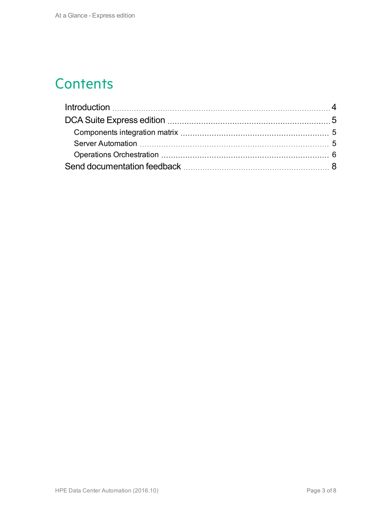### **Contents**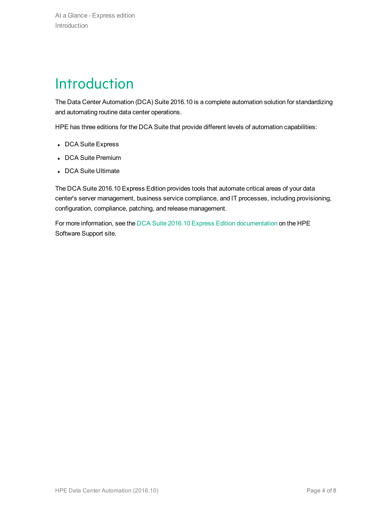# <span id="page-3-0"></span>Introduction

The Data Center Automation (DCA) Suite 2016.10 is a complete automation solution for standardizing and automating routine data center operations.

HPE has three editions for the DCA Suite that provide different levels of automation capabilities:

- DCA Suite Express
- DCA Suite Premium
- DCA Suite Ultimate

The DCA Suite 2016.10 Express Edition provides tools that automate critical areas of your data center's server management, business service compliance, and IT processes, including provisioning, configuration, compliance, patching, and release management.

For more information, see the DCA Suite 2016.10 Express Edition [documentation](https://softwaresupport.hpe.com/km/KM02605725) on the HPE Software Support site.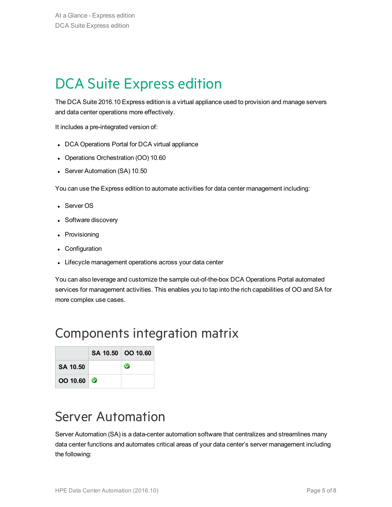# <span id="page-4-0"></span>DCA Suite Express edition

The DCA Suite 2016.10 Express edition is a virtual appliance used to provision and manage servers and data center operations more effectively.

It includes a pre-integrated version of:

- DCA Operations Portal for DCA virtual appliance
- Operations Orchestration (OO) 10.60
- Server Automation (SA) 10.50

You can use the Express edition to automate activities for data center management including:

- Server OS
- Software discovery
- Provisioning
- Configuration
- Lifecycle management operations across your data center

You can also leverage and customize the sample out-of-the-box DCA Operations Portal automated services for management activities. This enables you to tap into the rich capabilities of OO and SA for more complex use cases.

### <span id="page-4-1"></span>Components integration matrix

|          | SA 10.50 OO 10.60 |
|----------|-------------------|
| SA 10.50 |                   |
| OO 10.60 |                   |

### <span id="page-4-2"></span>Server Automation

Server Automation (SA) is a data-center automation software that centralizes and streamlines many data center functions and automates critical areas of your data center's server management including the following: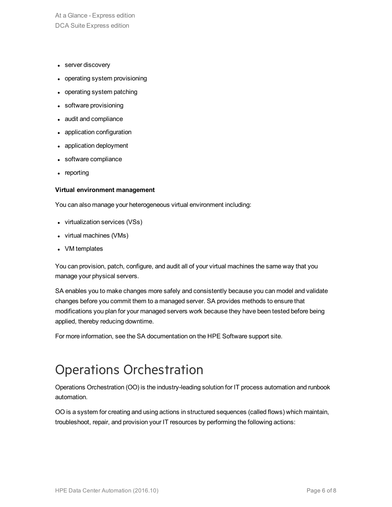At a Glance - Express edition DCA Suite Express edition

- server discovery
- operating system provisioning
- operating system patching
- software provisioning
- audit and compliance
- application configuration
- application deployment
- software compliance
- reporting

#### **Virtual environment management**

You can also manage your heterogeneous virtual environment including:

- virtualization services (VSs)
- $\bullet$  virtual machines (VMs)
- VM templates

You can provision, patch, configure, and audit all of your virtual machines the same way that you manage your physical servers.

SA enables you to make changes more safely and consistently because you can model and validate changes before you commit them to a managed server. SA provides methods to ensure that modifications you plan for your managed servers work because they have been tested before being applied, thereby reducing downtime.

For more information, see the SA documentation on the HPE Software support site.

### <span id="page-5-0"></span>Operations Orchestration

Operations Orchestration (OO) is the industry-leading solution for IT process automation and runbook automation.

OO is a system for creating and using actions in structured sequences (called flows) which maintain, troubleshoot, repair, and provision your IT resources by performing the following actions: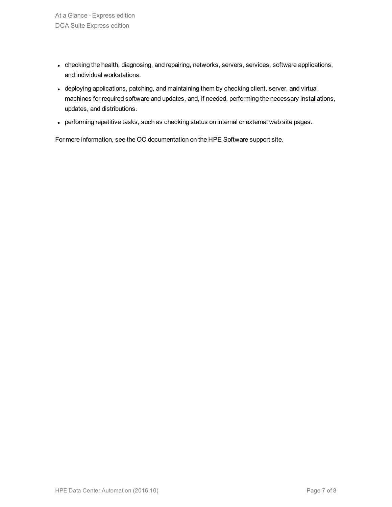- checking the health, diagnosing, and repairing, networks, servers, services, software applications, and individual workstations.
- deploying applications, patching, and maintaining them by checking client, server, and virtual machines for required software and updates, and, if needed, performing the necessary installations, updates, and distributions.
- performing repetitive tasks, such as checking status on internal or external web site pages.

For more information, see the OO documentation on the HPE Software support site.